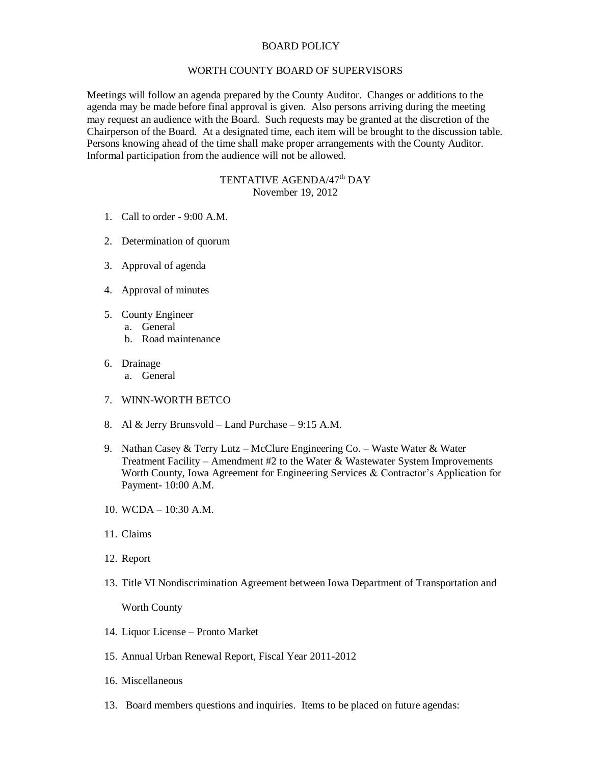## BOARD POLICY

## WORTH COUNTY BOARD OF SUPERVISORS

Meetings will follow an agenda prepared by the County Auditor. Changes or additions to the agenda may be made before final approval is given. Also persons arriving during the meeting may request an audience with the Board. Such requests may be granted at the discretion of the Chairperson of the Board. At a designated time, each item will be brought to the discussion table. Persons knowing ahead of the time shall make proper arrangements with the County Auditor. Informal participation from the audience will not be allowed.

## TENTATIVE AGENDA/47<sup>th</sup> DAY November 19, 2012

- 1. Call to order 9:00 A.M.
- 2. Determination of quorum
- 3. Approval of agenda
- 4. Approval of minutes
- 5. County Engineer
	- a. General
	- b. Road maintenance
- 6. Drainage
	- a. General
- 7. WINN-WORTH BETCO
- 8. Al & Jerry Brunsvold Land Purchase 9:15 A.M.
- 9. Nathan Casey & Terry Lutz McClure Engineering Co. Waste Water & Water Treatment Facility – Amendment #2 to the Water & Wastewater System Improvements Worth County, Iowa Agreement for Engineering Services & Contractor's Application for Payment- 10:00 A.M.
- 10. WCDA 10:30 A.M.
- 11. Claims
- 12. Report
- 13. Title VI Nondiscrimination Agreement between Iowa Department of Transportation and

Worth County

- 14. Liquor License Pronto Market
- 15. Annual Urban Renewal Report, Fiscal Year 2011-2012
- 16. Miscellaneous
- 13. Board members questions and inquiries. Items to be placed on future agendas: